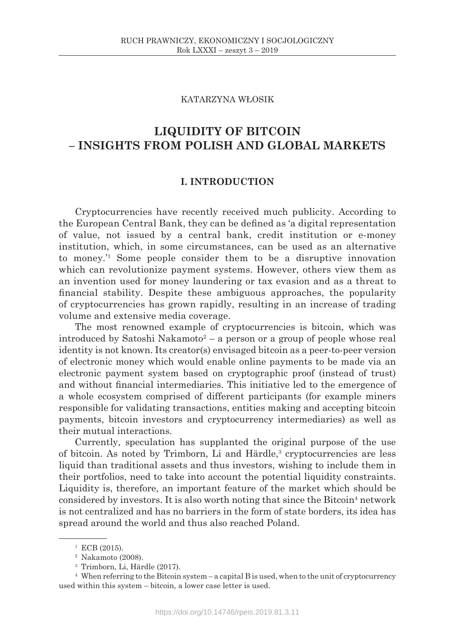# KATARZYNA WŁOSIK

# **LIQUIDITY OF BITCOIN – INSIGHTS FROM POLISH AND GLOBAL MARKETS**

# **I. INTRODUCTION**

Cryptocurrencies have recently received much publicity. According to the European Central Bank, they can be defined as 'a digital representation of value, not issued by a central bank, credit institution or e-money institution, which, in some circumstances, can be used as an alternative to money.'1 Some people consider them to be a disruptive innovation which can revolutionize payment systems. However, others view them as an invention used for money laundering or tax evasion and as a threat to financial stability. Despite these ambiguous approaches, the popularity of cryptocurrencies has grown rapidly, resulting in an increase of trading volume and extensive media coverage.

The most renowned example of cryptocurrencies is bitcoin, which was introduced by Satoshi Nakamoto<sup>2</sup> – a person or a group of people whose real identity is not known. Its creator(s) envisaged bitcoin as a peer-to-peer version of electronic money which would enable online payments to be made via an electronic payment system based on cryptographic proof (instead of trust) and without financial intermediaries. This initiative led to the emergence of a whole ecosystem comprised of different participants (for example miners responsible for validating transactions, entities making and accepting bitcoin payments, bitcoin investors and cryptocurrency intermediaries) as well as their mutual interactions.

Currently, speculation has supplanted the original purpose of the use of bitcoin. As noted by Trimborn, Li and Härdle,<sup>3</sup> cryptocurrencies are less liquid than traditional assets and thus investors, wishing to include them in their portfolios, need to take into account the potential liquidity constraints. Liquidity is, therefore, an important feature of the market which should be considered by investors. It is also worth noting that since the Bitcoin<sup>4</sup> network is not centralized and has no barriers in the form of state borders, its idea has spread around the world and thus also reached Poland.

 $1$  ECB (2015).

<sup>2</sup> Nakamoto (2008).

<sup>3</sup> Trimborn, Li, Härdle (2017).

<sup>4</sup> When referring to the Bitcoin system – a capital B is used, when to the unit of cryptocurrency used within this system – bitcoin, a lower case letter is used.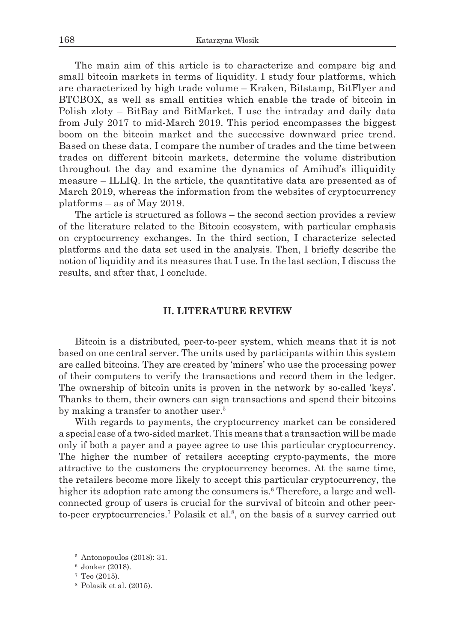The main aim of this article is to characterize and compare big and small bitcoin markets in terms of liquidity. I study four platforms, which are characterized by high trade volume – Kraken, Bitstamp, BitFlyer and BTCBOX, as well as small entities which enable the trade of bitcoin in Polish zloty – BitBay and BitMarket. I use the intraday and daily data from July 2017 to mid-March 2019. This period encompasses the biggest boom on the bitcoin market and the successive downward price trend. Based on these data, I compare the number of trades and the time between trades on different bitcoin markets, determine the volume distribution throughout the day and examine the dynamics of Amihud's illiquidity measure – ILLIQ. In the article, the quantitative data are presented as of March 2019, whereas the information from the websites of cryptocurrency platforms – as of May 2019.

The article is structured as follows – the second section provides a review of the literature related to the Bitcoin ecosystem, with particular emphasis on cryptocurrency exchanges. In the third section, I characterize selected platforms and the data set used in the analysis. Then, I briefly describe the notion of liquidity and its measures that I use. In the last section, I discuss the results, and after that, I conclude.

## **II. LITERATURE REVIEW**

Bitcoin is a distributed, peer-to-peer system, which means that it is not based on one central server. The units used by participants within this system are called bitcoins. They are created by 'miners' who use the processing power of their computers to verify the transactions and record them in the ledger. The ownership of bitcoin units is proven in the network by so-called 'keys'. Thanks to them, their owners can sign transactions and spend their bitcoins by making a transfer to another user.<sup>5</sup>

With regards to payments, the cryptocurrency market can be considered a special case of a two-sided market. This means that a transaction will be made only if both a payer and a payee agree to use this particular cryptocurrency. The higher the number of retailers accepting crypto-payments, the more attractive to the customers the cryptocurrency becomes. At the same time, the retailers become more likely to accept this particular cryptocurrency, the higher its adoption rate among the consumers is.<sup>6</sup> Therefore, a large and wellconnected group of users is crucial for the survival of bitcoin and other peerto-peer cryptocurrencies.<sup>7</sup> Polasik et al.<sup>8</sup>, on the basis of a survey carried out

 $5$  Antonopoulos (2018): 31.

<sup>6</sup> Jonker (2018).

 $7$  Teo (2015).

<sup>8</sup> Polasik et al. (2015).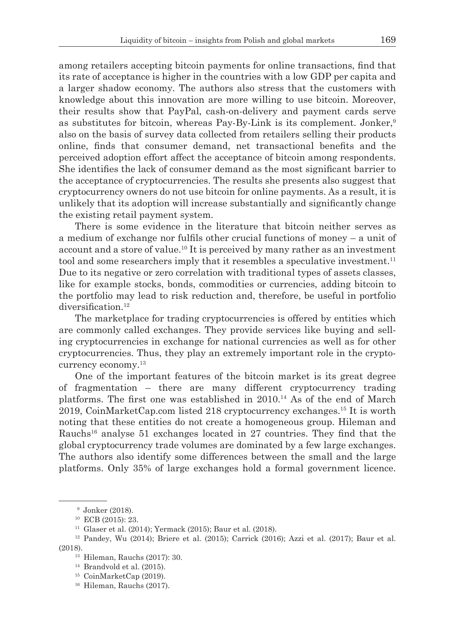among retailers accepting bitcoin payments for online transactions, find that its rate of acceptance is higher in the countries with a low GDP per capita and a larger shadow economy. The authors also stress that the customers with knowledge about this innovation are more willing to use bitcoin. Moreover, their results show that PayPal, cash-on-delivery and payment cards serve as substitutes for bitcoin, whereas Pay-By-Link is its complement. Jonker,<sup>9</sup> also on the basis of survey data collected from retailers selling their products online, finds that consumer demand, net transactional benefits and the perceived adoption effort affect the acceptance of bitcoin among respondents. She identifies the lack of consumer demand as the most significant barrier to the acceptance of cryptocurrencies. The results she presents also suggest that cryptocurrency owners do not use bitcoin for online payments. As a result, it is unlikely that its adoption will increase substantially and significantly change the existing retail payment system.

There is some evidence in the literature that bitcoin neither serves as a medium of exchange nor fulfils other crucial functions of money – a unit of account and a store of value.10 It is perceived by many rather as an investment tool and some researchers imply that it resembles a speculative investment.<sup>11</sup> Due to its negative or zero correlation with traditional types of assets classes, like for example stocks, bonds, commodities or currencies, adding bitcoin to the portfolio may lead to risk reduction and, therefore, be useful in portfolio diversification.<sup>12</sup>

The marketplace for trading cryptocurrencies is offered by entities which are commonly called exchanges. They provide services like buying and selling cryptocurrencies in exchange for national currencies as well as for other cryptocurrencies. Thus, they play an extremely important role in the cryptocurrency economy.<sup>13</sup>

One of the important features of the bitcoin market is its great degree of fragmentation – there are many different cryptocurrency trading platforms. The first one was established in  $2010<sup>14</sup>$  As of the end of March 2019, CoinMarketCap.com listed 218 cryptocurrency exchanges.15 It is worth noting that these entities do not create a homogeneous group. Hileman and Rauchs<sup>16</sup> analyse 51 exchanges located in 27 countries. They find that the global cryptocurrency trade volumes are dominated by a few large exchanges. The authors also identify some differences between the small and the large platforms. Only 35% of large exchanges hold a formal government licence.

<sup>9</sup> Jonker (2018).

<sup>10</sup> ECB (2015): 23.

<sup>11</sup> Glaser et al. (2014); Yermack (2015); Baur et al. (2018).

<sup>12</sup> Pandey, Wu (2014); Briere et al. (2015); Carrick (2016); Azzi et al. (2017); Baur et al. (2018).

<sup>13</sup> Hileman, Rauchs (2017): 30.

 $14$  Brandvold et al. (2015).

<sup>15</sup> CoinMarketCap (2019).

<sup>16</sup> Hileman, Rauchs (2017).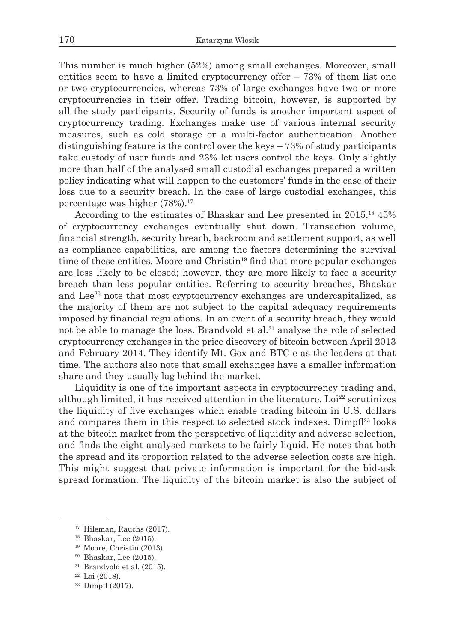This number is much higher (52%) among small exchanges. Moreover, small entities seem to have a limited cryptocurrency offer  $-73%$  of them list one or two cryptocurrencies, whereas 73% of large exchanges have two or more cryptocurrencies in their offer. Trading bitcoin, however, is supported by all the study participants. Security of funds is another important aspect of cryptocurrency trading. Exchanges make use of various internal security measures, such as cold storage or a multi-factor authentication. Another distinguishing feature is the control over the keys – 73% of study participants take custody of user funds and 23% let users control the keys. Only slightly more than half of the analysed small custodial exchanges prepared a written policy indicating what will happen to the customers' funds in the case of their loss due to a security breach. In the case of large custodial exchanges, this percentage was higher (78%).17

According to the estimates of Bhaskar and Lee presented in 2015,<sup>18</sup> 45% of cryptocurrency exchanges eventually shut down. Transaction volume, financial strength, security breach, backroom and settlement support, as well as compliance capabilities, are among the factors determining the survival time of these entities. Moore and Christin<sup>19</sup> find that more popular exchanges are less likely to be closed; however, they are more likely to face a security breach than less popular entities. Referring to security breaches, Bhaskar and Lee<sup>20</sup> note that most cryptocurrency exchanges are undercapitalized, as the majority of them are not subject to the capital adequacy requirements imposed by financial regulations. In an event of a security breach, they would not be able to manage the loss. Brandvold et al.<sup>21</sup> analyse the role of selected cryptocurrency exchanges in the price discovery of bitcoin between April 2013 and February 2014. They identify Mt. Gox and BTC-e as the leaders at that time. The authors also note that small exchanges have a smaller information share and they usually lag behind the market.

Liquidity is one of the important aspects in cryptocurrency trading and, although limited, it has received attention in the literature. Loi<sup>22</sup> scrutinizes the liquidity of five exchanges which enable trading bitcoin in U.S. dollars and compares them in this respect to selected stock indexes. Dimpf<sup>23</sup> looks at the bitcoin market from the perspective of liquidity and adverse selection, and finds the eight analysed markets to be fairly liquid. He notes that both the spread and its proportion related to the adverse selection costs are high. This might suggest that private information is important for the bid-ask spread formation. The liquidity of the bitcoin market is also the subject of

<sup>19</sup> Moore, Christin (2013).

 $21$  Brandvold et al. (2015).

<sup>&</sup>lt;sup>17</sup> Hileman, Rauchs (2017).

<sup>18</sup> Bhaskar, Lee (2015).

<sup>20</sup> Bhaskar, Lee (2015).

 $22$  Loi (2018).

 $23$  Dimpfl (2017).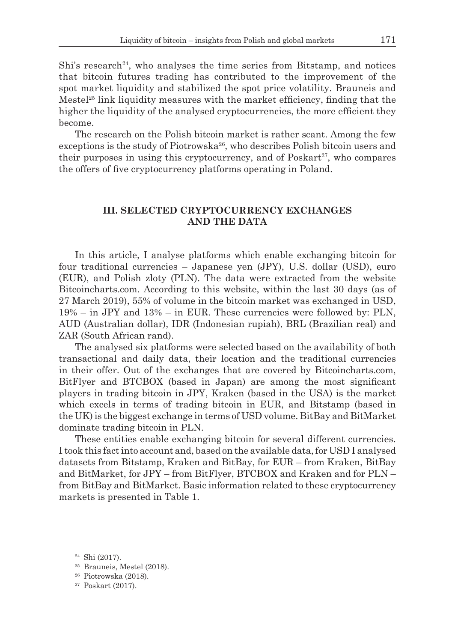Shi's research<sup>24</sup>, who analyses the time series from Bitstamp, and notices that bitcoin futures trading has contributed to the improvement of the spot market liquidity and stabilized the spot price volatility. Brauneis and Mestel<sup>25</sup> link liquidity measures with the market efficiency, finding that the higher the liquidity of the analysed cryptocurrencies, the more efficient they become.

The research on the Polish bitcoin market is rather scant. Among the few exceptions is the study of Piotrowska<sup>26</sup>, who describes Polish bitcoin users and their purposes in using this cryptocurrency, and of  $Poskart^{27}$ , who compares the offers of five cryptocurrency platforms operating in Poland.

# **III. SELECTED CRYPTOCURRENCY EXCHANGES AND THE DATA**

In this article, I analyse platforms which enable exchanging bitcoin for four traditional currencies – Japanese yen (JPY), U.S. dollar (USD), euro (EUR), and Polish zloty (PLN). The data were extracted from the website Bitcoincharts.com. According to this website, within the last 30 days (as of 27 March 2019), 55% of volume in the bitcoin market was exchanged in USD, 19% – in JPY and 13% – in EUR. These currencies were followed by: PLN, AUD (Australian dollar), IDR (Indonesian rupiah), BRL (Brazilian real) and ZAR (South African rand).

The analysed six platforms were selected based on the availability of both transactional and daily data, their location and the traditional currencies in their offer. Out of the exchanges that are covered by Bitcoincharts.com, BitFlyer and BTCBOX (based in Japan) are among the most significant players in trading bitcoin in JPY, Kraken (based in the USA) is the market which excels in terms of trading bitcoin in EUR, and Bitstamp (based in the UK) is the biggest exchange in terms of USD volume. BitBay and BitMarket dominate trading bitcoin in PLN.

These entities enable exchanging bitcoin for several different currencies. I took this fact into account and, based on the available data, for USD I analysed datasets from Bitstamp, Kraken and BitBay, for EUR – from Kraken, BitBay and BitMarket, for JPY – from BitFlyer, BTCBOX and Kraken and for PLN – from BitBay and BitMarket. Basic information related to these cryptocurrency markets is presented in Table 1.

<sup>24</sup> Shi (2017).

<sup>25</sup> Brauneis, Mestel (2018).

<sup>26</sup> Piotrowska (2018).

<sup>27</sup> Poskart (2017).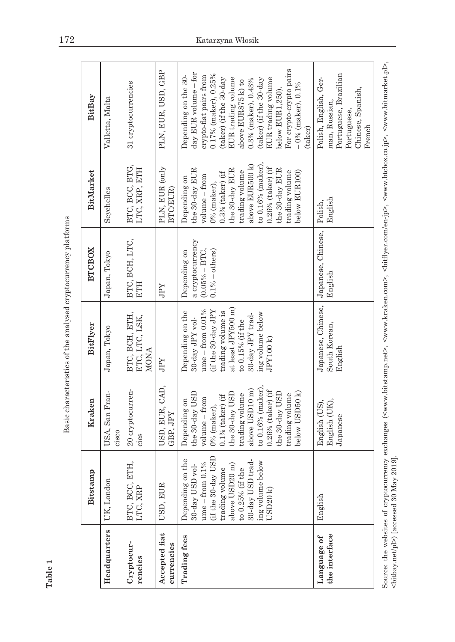Basic characteristics of the analysed cryptocurrency platforms Basic characteristics of the analysed cryptocurrency platforms

|                              | Bitstamp                                                                                                                                                                                      | Kraken                                                                                                                                                                                                                                             | BitFlyer                                                                                                                                                                                                         | <b>BTCBOX</b>                                                             | BitMarket                                                                                                                                                                                                                                      | BitBay                                                                                                                                                                                                                                                                                                                       |
|------------------------------|-----------------------------------------------------------------------------------------------------------------------------------------------------------------------------------------------|----------------------------------------------------------------------------------------------------------------------------------------------------------------------------------------------------------------------------------------------------|------------------------------------------------------------------------------------------------------------------------------------------------------------------------------------------------------------------|---------------------------------------------------------------------------|------------------------------------------------------------------------------------------------------------------------------------------------------------------------------------------------------------------------------------------------|------------------------------------------------------------------------------------------------------------------------------------------------------------------------------------------------------------------------------------------------------------------------------------------------------------------------------|
| Headquarters                 | UK, London                                                                                                                                                                                    | USA, San Fran-<br>cisco                                                                                                                                                                                                                            | Japan, Tokyo                                                                                                                                                                                                     | Japan, Tokyo                                                              | Seychelles                                                                                                                                                                                                                                     | Valletta, Malta                                                                                                                                                                                                                                                                                                              |
| Cryptocur-<br>rencies        | BTC, BCC, ETH,<br>LTC, XRP                                                                                                                                                                    | 20 cryptocurren-<br>cies                                                                                                                                                                                                                           | BTC, BCH, ETH,<br>ETC, LTC, LSK,<br><b>MONA</b>                                                                                                                                                                  | BTC, BCH, LTC,<br><b>ELIA</b>                                             | BTC, BCC, BTG,<br>LTC, XRP, ETH                                                                                                                                                                                                                | 31 cryptocurrencies                                                                                                                                                                                                                                                                                                          |
| Accepted flat<br>currencies  | USD, EUI                                                                                                                                                                                      | USD, EUR, CAD,<br>GBP, JPY                                                                                                                                                                                                                         | JPY                                                                                                                                                                                                              | JPY                                                                       | PLN, EUR (only<br>BTC/EUR)                                                                                                                                                                                                                     | PLN, EUR, USD, GBP                                                                                                                                                                                                                                                                                                           |
| <b>Trading</b> fees          | (if the 30-day USD<br>Depending on the<br>30-day USD trad-<br>ing volume below<br>$ume - from 0.1\%$<br>30-day USD vol-<br>above USD20 m)<br>trading volume<br>to $0.25\%$ (if the<br>USD20 k | to 0.16% (maker),<br>above USD10 m)<br>$0.26\%$ (taker) (if<br>the 30-day USD<br>the 30-day USD<br>the 30-day USD<br>below USD50 k)<br>trading volume<br>trading volume<br>$0.1\%$ (taker) (if<br>$volume - from$<br>Depending on<br>$0%$ (maker), | at least JPY500 m)<br>$\text{ume}-\text{from}~0.01\%$<br>(if the 30-day JPY<br>Depending on the<br>trading volume is<br>ing volume below<br>30-day JPY trad-<br>30-day JPY vol-<br>to 0.15% (if the<br>JPY100 k) | a cryptocurrency<br>$(0.05\% - BTC,$<br>$0.1\% - others)$<br>Depending on | to 0.16% (maker),<br>above EUR500 k)<br>$0.26%$ (taker) (if<br>the 30-day EUR<br>the 30-day EUR<br>the 30-day EUR<br>trading volume<br>below EUR100)<br>trading volume<br>$0.3%$ (taker) (if<br>volume – from<br>Depending on<br>$0%$ (maker), | For crypto-crypto pairs<br>day EUR volume - for<br>0.17% (maker), 0.25%<br>Depending on the 30-<br>crypto-fiat pairs from<br>(taker) (if the 30-day<br>EUR trading volume<br>(taker) (if the 30-day<br>EUR trading volume<br>0.3% (maker), 0.43%<br>above EUR875 k) to<br>$-0\%$ (maker), 0.1%<br>below EUR1,250).<br>taker) |
| the interface<br>Language of | English                                                                                                                                                                                       | English (US),<br>English (UK),<br>Japanese                                                                                                                                                                                                         | Japanese, Chinese,<br>South Korean,<br>English                                                                                                                                                                   | Japanese, Chinese,<br>English                                             | English<br>Polish.                                                                                                                                                                                                                             | Portuguese, Brazilian<br>Polish, English, Ger-<br>Chinese, Spanish,<br>man, Russian<br>Portuguese,<br>French                                                                                                                                                                                                                 |
|                              |                                                                                                                                                                                               |                                                                                                                                                                                                                                                    |                                                                                                                                                                                                                  |                                                                           |                                                                                                                                                                                                                                                |                                                                                                                                                                                                                                                                                                                              |

Source: the websites of cryptocurrency exchanges (<www.bitstamp.net>, <www.kraken.com>, <br/> <br/>stifflyer.com/en-jp>, <www.btcbox.co.jp>, <www.bitmarket.pl>, <br/> <br/>bitbay.net/pl>) [accessed 30 May 2019]. Source: the websites of cryptocurrency exchanges (<www.bitstamp.net>, <www.kraken.com>, <br/> <br/>intflyer.com/en-jp>, <www.bitbox.co.jp>, <www.bitmarket.pl>, <bitbay.net/pl>) [accessed 30 May 2019].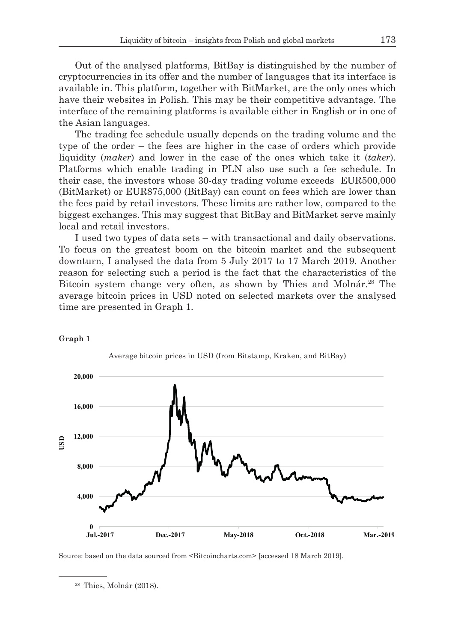Out of the analysed platforms, BitBay is distinguished by the number of cryptocurrencies in its offer and the number of languages that its interface is available in. This platform, together with BitMarket, are the only ones which have their websites in Polish. This may be their competitive advantage. The interface of the remaining platforms is available either in English or in one of the Asian languages.

The trading fee schedule usually depends on the trading volume and the type of the order – the fees are higher in the case of orders which provide liquidity (*maker*) and lower in the case of the ones which take it (*taker*). Platforms which enable trading in PLN also use such a fee schedule. In their case, the investors whose 30-day trading volume exceeds EUR500,000 (BitMarket) or EUR875,000 (BitBay) can count on fees which are lower than the fees paid by retail investors. These limits are rather low, compared to the biggest exchanges. This may suggest that BitBay and BitMarket serve mainly local and retail investors.

I used two types of data sets – with transactional and daily observations. To focus on the greatest boom on the bitcoin market and the subsequent downturn, I analysed the data from 5 July 2017 to 17 March 2019. Another reason for selecting such a period is the fact that the characteristics of the Bitcoin system change very often, as shown by Thies and Molnár.<sup>28</sup> The average bitcoin prices in USD noted on selected markets over the analysed time are presented in Graph 1.



#### **Graph 1**

Source: based on the data sourced from <Bitcoincharts.com> [accessed 18 March 2019].

<sup>28</sup> Thies, Molnár (2018).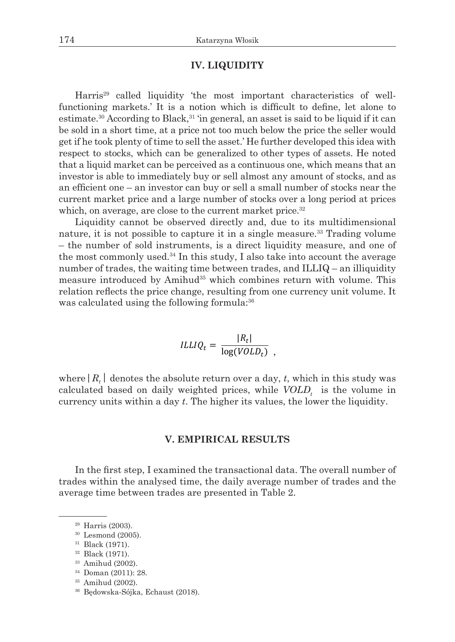# **IV. LIQUIDITY**

Harris<sup>29</sup> called liquidity 'the most important characteristics of wellfunctioning markets.' It is a notion which is difficult to define, let alone to estimate.<sup>30</sup> According to Black,<sup>31</sup> 'in general, an asset is said to be liquid if it can be sold in a short time, at a price not too much below the price the seller would get if he took plenty of time to sell the asset.' He further developed this idea with respect to stocks, which can be generalized to other types of assets. He noted that a liquid market can be perceived as a continuous one, which means that an investor is able to immediately buy or sell almost any amount of stocks, and as an efficient one – an investor can buy or sell a small number of stocks near the current market price and a large number of stocks over a long period at prices which, on average, are close to the current market price.<sup>32</sup>

Liquidity cannot be observed directly and, due to its multidimensional nature, it is not possible to capture it in a single measure.<sup>33</sup> Trading volume – the number of sold instruments, is a direct liquidity measure, and one of the most commonly used.<sup>34</sup> In this study, I also take into account the average number of trades, the waiting time between trades, and ILLIQ – an illiquidity measure introduced by Amihud<sup>35</sup> which combines return with volume. This relation reflects the price change, resulting from one currency unit volume. It was calculated using the following formula: $36$ 

$$
ILLIQ_t = \frac{|R_t|}{\log(VOLD_t)},
$$

where  $|R_t|$  denotes the absolute return over a day, *t*, which in this study was calculated based on daily weighted prices, while  $\textit{VOLD}_t$  is the volume in currency units within a day  $t$ . The higher its values, the lower the liquidity.

### **V. EMPIRICAL RESULTS V. EMPIRICAL RESULTS**

In the first step, I examined the transactional data. The overall number of trades within the analysed time, the daily average number of trades and the average time between trades are presented in Table 2. average in

- <sup>33</sup> Amihud (2002).  $\frac{34}{100}$  and  $(2002)$ . This is shown by the example of Kraken. Although it is highly in it is highly it is highly it is highly in it is highly in the example of Kraken. Although it is highly in the example of Kraken.
	- <sup>34</sup> Doman (2011): 28.

<sup>29</sup> Harris (2003). BitFlyer (JPY), Bitstamp (USD) and Kraken (EUR) are the leaders in this respect, whereas

 $30$  Lesmond (2005).

<sup>31</sup> Black (1971).

<sup>32</sup> Black (1971). exchange dominates in trading in trading in a particular currency does not mean that it excels in that it excels in the  $(1971)$ 

<sup>35</sup> Amihud (2002).  $\sum_{i=1}^{36}$  Amihud (2002), it does not see measured in terms of the very liquid in terms of the very liquid in terms of the very liquid in terms of the very liquid in terms of the very liquid in terms of the very liquid

<sup>36</sup> Będowska-Sójka, Echaust (2018).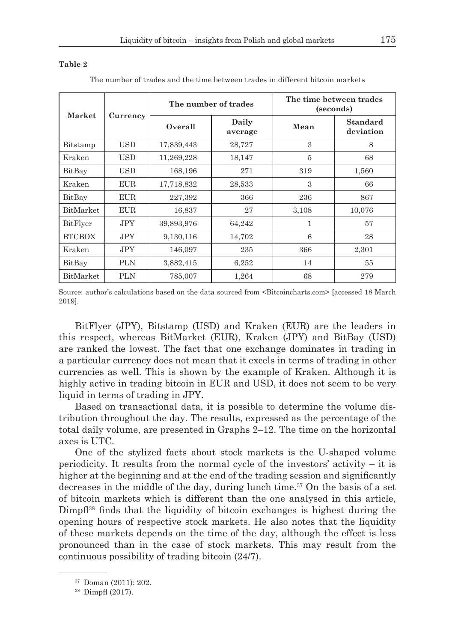#### **Table 2**

| Market        | Currency   | The number of trades |                  | The time between trades<br>(seconds) |                              |
|---------------|------------|----------------------|------------------|--------------------------------------|------------------------------|
|               |            | Overall              | Daily<br>average | Mean                                 | <b>Standard</b><br>deviation |
| Bitstamp      | USD        | 17,839,443           | 28,727           | 3                                    | 8                            |
| Kraken        | USD.       | 11,269,228           | 18,147           | 5                                    | 68                           |
| BitBay        | USD        | 168,196              | 271              | 319                                  | 1,560                        |
| Kraken        | <b>EUR</b> | 17,718,832           | 28,533           | 3                                    | 66                           |
| BitBay        | <b>EUR</b> | 227,392              | 366              | 236                                  | 867                          |
| BitMarket     | <b>EUR</b> | 16,837               | 27               | 3,108                                | 10,076                       |
| BitFlyer      | JPY        | 39,893,976           | 64,242           | 1                                    | 57                           |
| <b>BTCBOX</b> | <b>JPY</b> | 9,130,116            | 14,702           | 6                                    | 28                           |
| Kraken        | <b>JPY</b> | 146,097              | 235              | 366                                  | 2,301                        |
| BitBay        | PLN        | 3,882,415            | 6,252            | 14                                   | 55                           |
| BitMarket     | <b>PLN</b> | 785,007              | 1,264            | 68                                   | 279                          |

The number of trades and the time between trades in different bitcoin markets

Source: author's calculations based on the data sourced from <Bitcoincharts.com> [accessed 18 March 2019].

BitFlyer (JPY), Bitstamp (USD) and Kraken (EUR) are the leaders in this respect, whereas BitMarket (EUR), Kraken (JPY) and BitBay (USD) are ranked the lowest. The fact that one exchange dominates in trading in a particular currency does not mean that it excels in terms of trading in other currencies as well. This is shown by the example of Kraken. Although it is highly active in trading bitcoin in EUR and USD, it does not seem to be very liquid in terms of trading in JPY.

Based on transactional data, it is possible to determine the volume distribution throughout the day. The results, expressed as the percentage of the total daily volume, are presented in Graphs 2–12. The time on the horizontal axes is UTC.

One of the stylized facts about stock markets is the U-shaped volume periodicity. It results from the normal cycle of the investors' activity – it is higher at the beginning and at the end of the trading session and significantly decreases in the middle of the day, during lunch time.<sup>37</sup> On the basis of a set of bitcoin markets which is different than the one analysed in this article, Dimpfl<sup>38</sup> finds that the liquidity of bitcoin exchanges is highest during the opening hours of respective stock markets. He also notes that the liquidity of these markets depends on the time of the day, although the effect is less pronounced than in the case of stock markets. This may result from the continuous possibility of trading bitcoin (24/7).

<sup>37</sup> Doman (2011): 202.

<sup>38</sup> Dimpfl (2017).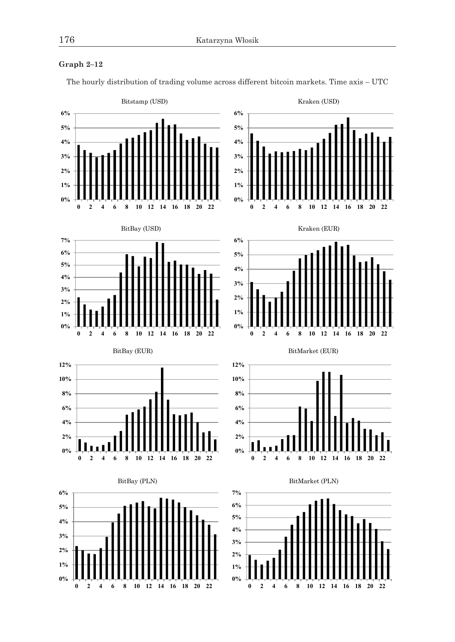## **Graph 2–12**



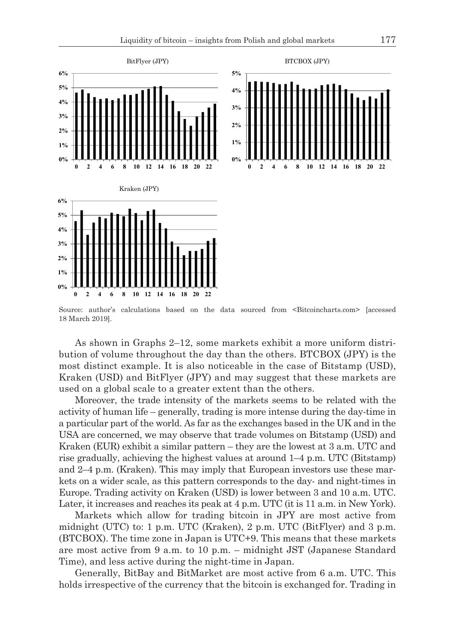

Source: author's calculations based on the data sourced from <Bitcoincharts.com> [accessed 18 March 2019].

As shown in Graphs 2–12, some markets exhibit a more uniform distribution of volume throughout the day than the others. BTCBOX (JPY) is the most distinct example. It is also noticeable in the case of Bitstamp (USD), Kraken (USD) and BitFlyer (JPY) and may suggest that these markets are used on a global scale to a greater extent than the others.

Moreover, the trade intensity of the markets seems to be related with the activity of human life – generally, trading is more intense during the day-time in a particular part of the world. As far as the exchanges based in the UK and in the USA are concerned, we may observe that trade volumes on Bitstamp (USD) and Kraken (EUR) exhibit a similar pattern – they are the lowest at 3 a.m. UTC and rise gradually, achieving the highest values at around 1–4 p.m. UTC (Bitstamp) and 2–4 p.m. (Kraken). This may imply that European investors use these markets on a wider scale, as this pattern corresponds to the day- and night-times in Europe. Trading activity on Kraken (USD) is lower between 3 and 10 a.m. UTC. Later, it increases and reaches its peak at 4 p.m. UTC (it is 11 a.m. in New York).

Markets which allow for trading bitcoin in JPY are most active from midnight (UTC) to: 1 p.m. UTC (Kraken), 2 p.m. UTC (BitFlyer) and 3 p.m. (BTCBOX). The time zone in Japan is UTC+9. This means that these markets are most active from 9 a.m. to 10 p.m. – midnight JST (Japanese Standard Time), and less active during the night-time in Japan.

Generally, BitBay and BitMarket are most active from 6 a.m. UTC. This holds irrespective of the currency that the bitcoin is exchanged for. Trading in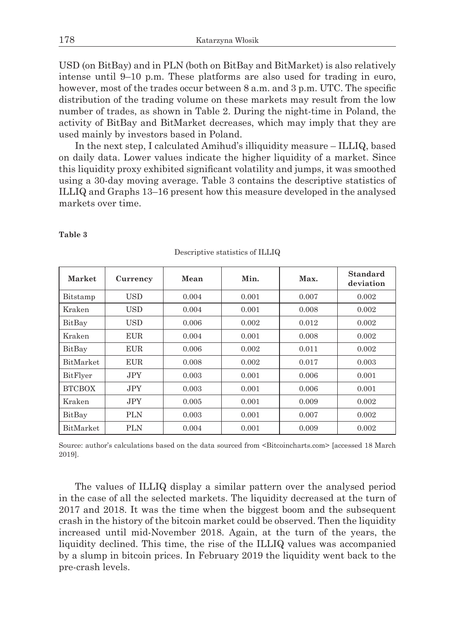USD (on BitBay) and in PLN (both on BitBay and BitMarket) is also relatively intense until 9–10 p.m. These platforms are also used for trading in euro, however, most of the trades occur between 8 a.m. and 3 p.m. UTC. The specific distribution of the trading volume on these markets may result from the low number of trades, as shown in Table 2. During the night-time in Poland, the activity of BitBay and BitMarket decreases, which may imply that they are used mainly by investors based in Poland.

In the next step, I calculated Amihud's illiquidity measure – ILLIQ, based on daily data. Lower values indicate the higher liquidity of a market. Since this liquidity proxy exhibited significant volatility and jumps, it was smoothed using a 30-day moving average. Table 3 contains the descriptive statistics of ILLIQ and Graphs 13–16 present how this measure developed in the analysed markets over time.

| Market           | Currency   | Mean  | Min.  | Max.  | <b>Standard</b> |
|------------------|------------|-------|-------|-------|-----------------|
|                  |            |       |       |       | deviation       |
| Bitstamp         | <b>USD</b> | 0.004 | 0.001 | 0.007 | 0.002           |
| Kraken           | <b>USD</b> | 0.004 | 0.001 | 0.008 | 0.002           |
| BitBay           | <b>USD</b> | 0.006 | 0.002 | 0.012 | 0.002           |
| Kraken           | <b>EUR</b> | 0.004 | 0.001 | 0.008 | 0.002           |
| BitBay           | <b>EUR</b> | 0.006 | 0.002 | 0.011 | 0.002           |
| <b>BitMarket</b> | <b>EUR</b> | 0.008 | 0.002 | 0.017 | 0.003           |
| BitFlyer         | JPY.       | 0.003 | 0.001 | 0.006 | 0.001           |
| <b>BTCBOX</b>    | JPY.       | 0.003 | 0.001 | 0.006 | 0.001           |
| Kraken           | JPY.       | 0.005 | 0.001 | 0.009 | 0.002           |
| BitBay           | <b>PLN</b> | 0.003 | 0.001 | 0.007 | 0.002           |
| BitMarket        | <b>PLN</b> | 0.004 | 0.001 | 0.009 | 0.002           |

**Table 3**

Descriptive statistics of ILLIQ

Source: author's calculations based on the data sourced from <Bitcoincharts.com> [accessed 18 March 2019].

The values of ILLIQ display a similar pattern over the analysed period in the case of all the selected markets. The liquidity decreased at the turn of 2017 and 2018. It was the time when the biggest boom and the subsequent crash in the history of the bitcoin market could be observed. Then the liquidity increased until mid-November 2018. Again, at the turn of the years, the liquidity declined. This time, the rise of the ILLIQ values was accompanied by a slump in bitcoin prices. In February 2019 the liquidity went back to the pre-crash levels.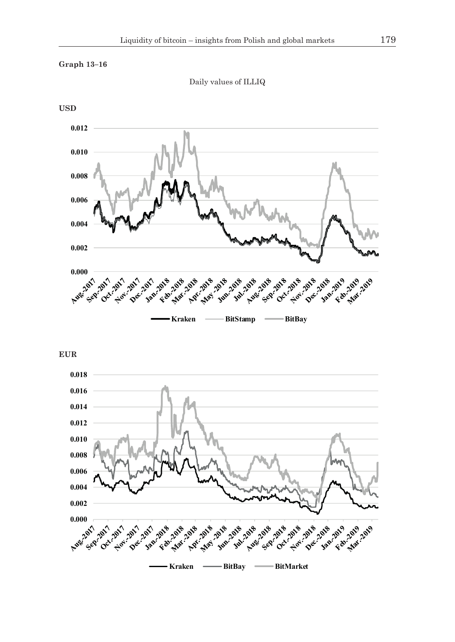

Daily values of ILLIQ



**EUR**

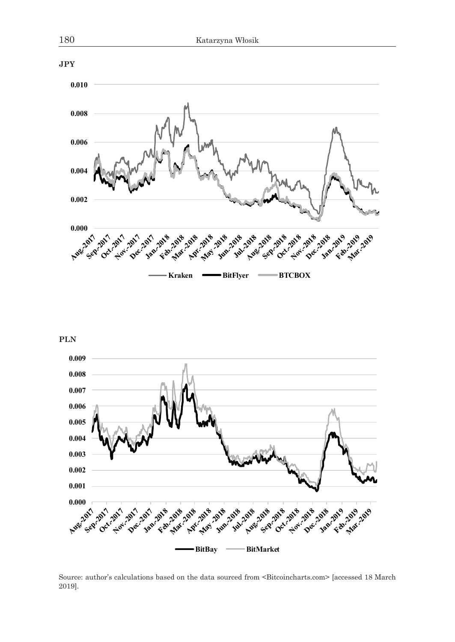

**PLN**



Source: author's calculations based on the data sourced from <Bitcoincharts.com> [accessed 18 March 2019].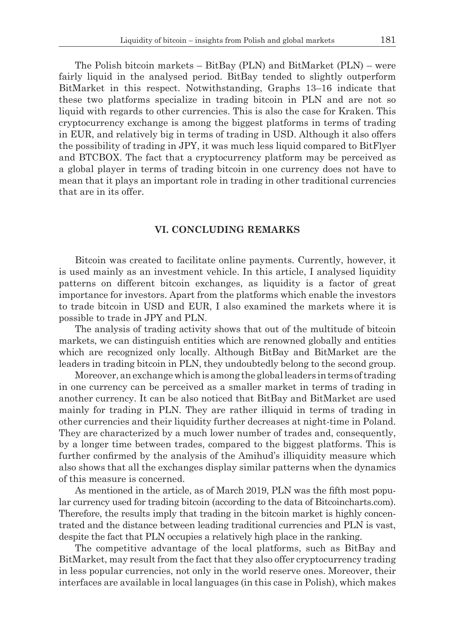The Polish bitcoin markets – BitBay (PLN) and BitMarket (PLN) – were fairly liquid in the analysed period. BitBay tended to slightly outperform BitMarket in this respect. Notwithstanding, Graphs 13–16 indicate that these two platforms specialize in trading bitcoin in PLN and are not so liquid with regards to other currencies. This is also the case for Kraken. This cryptocurrency exchange is among the biggest platforms in terms of trading in EUR, and relatively big in terms of trading in USD. Although it also offers the possibility of trading in JPY, it was much less liquid compared to BitFlyer and BTCBOX. The fact that a cryptocurrency platform may be perceived as a global player in terms of trading bitcoin in one currency does not have to mean that it plays an important role in trading in other traditional currencies that are in its offer.

## **VI. CONCLUDING REMARKS**

Bitcoin was created to facilitate online payments. Currently, however, it is used mainly as an investment vehicle. In this article, I analysed liquidity patterns on different bitcoin exchanges, as liquidity is a factor of great importance for investors. Apart from the platforms which enable the investors to trade bitcoin in USD and EUR, I also examined the markets where it is possible to trade in JPY and PLN.

The analysis of trading activity shows that out of the multitude of bitcoin markets, we can distinguish entities which are renowned globally and entities which are recognized only locally. Although BitBay and BitMarket are the leaders in trading bitcoin in PLN, they undoubtedly belong to the second group.

Moreover, an exchange which is among the global leaders in terms of trading in one currency can be perceived as a smaller market in terms of trading in another currency. It can be also noticed that BitBay and BitMarket are used mainly for trading in PLN. They are rather illiquid in terms of trading in other currencies and their liquidity further decreases at night-time in Poland. They are characterized by a much lower number of trades and, consequently, by a longer time between trades, compared to the biggest platforms. This is further confirmed by the analysis of the Amihud's illiquidity measure which also shows that all the exchanges display similar patterns when the dynamics of this measure is concerned.

As mentioned in the article, as of March 2019, PLN was the fifth most popular currency used for trading bitcoin (according to the data of Bitcoincharts.com). Therefore, the results imply that trading in the bitcoin market is highly concentrated and the distance between leading traditional currencies and PLN is vast, despite the fact that PLN occupies a relatively high place in the ranking.

The competitive advantage of the local platforms, such as BitBay and BitMarket, may result from the fact that they also offer cryptocurrency trading in less popular currencies, not only in the world reserve ones. Moreover, their interfaces are available in local languages (in this case in Polish), which makes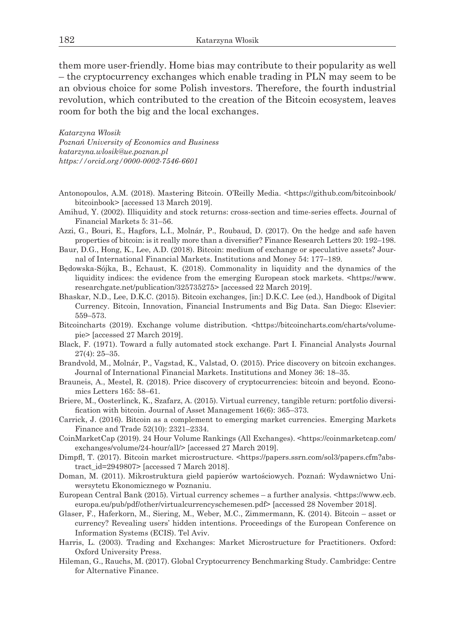them more user-friendly. Home bias may contribute to their popularity as well – the cryptocurrency exchanges which enable trading in PLN may seem to be an obvious choice for some Polish investors. Therefore, the fourth industrial revolution, which contributed to the creation of the Bitcoin ecosystem, leaves room for both the big and the local exchanges.

*Katarzyna Włosik Poznań University of Economics and Business katarzyna.wlosik@ue.poznan.pl https://orcid.org/0000-0002-7546-6601*

- Antonopoulos, A.M. (2018). Mastering Bitcoin. O'Reilly Media. <https://github.com/bitcoinbook/ bitcoinbook> [accessed 13 March 2019].
- Amihud, Y. (2002). Illiquidity and stock returns: cross-section and time-series effects. Journal of Financial Markets 5: 31–56.
- Azzi, G., Bouri, E., Hagfors, L.I., Molnár, P., Roubaud, D. (2017). On the hedge and safe haven properties of bitcoin: is it really more than a diversifier? Finance Research Letters 20: 192–198.
- Baur, D.G., Hong, K., Lee, A.D. (2018). Bitcoin: medium of exchange or speculative assets? Journal of International Financial Markets. Institutions and Money 54: 177–189.
- Będowska-Sójka, B., Echaust, K. (2018). Commonality in liquidity and the dynamics of the liquidity indices: the evidence from the emerging European stock markets.  $\lt$ https://www. researchgate.net/publication/325735275> [accessed 22 March 2019].
- Bhaskar, N.D., Lee, D.K.C. (2015). Bitcoin exchanges, [in:] D.K.C. Lee (ed.), Handbook of Digital Currency. Bitcoin, Innovation, Financial Instruments and Big Data. San Diego: Elsevier: 559–573.
- Bitcoincharts (2019). Exchange volume distribution. <https://bitcoincharts.com/charts/volumepie> [accessed 27 March 2019].
- Black, F. (1971). Toward a fully automated stock exchange. Part I. Financial Analysts Journal  $27(4) \cdot 25 - 35$
- Brandvold, M., Molnár, P., Vagstad, K., Valstad, O. (2015). Price discovery on bitcoin exchanges. Journal of International Financial Markets. Institutions and Money 36: 18–35.
- Brauneis, A., Mestel, R. (2018). Price discovery of cryptocurrencies: bitcoin and beyond. Economics Letters 165: 58–61.
- Briere, M., Oosterlinck, K., Szafarz, A. (2015). Virtual currency, tangible return: portfolio diversification with bitcoin. Journal of Asset Management 16(6): 365–373.
- Carrick, J. (2016). Bitcoin as a complement to emerging market currencies. Emerging Markets Finance and Trade 52(10): 2321–2334.
- CoinMarketCap (2019). 24 Hour Volume Rankings (All Exchanges). <https://coinmarketcap.com/ exchanges/volume/24-hour/all/> [accessed 27 March 2019].
- Dimpfl, T. (2017). Bitcoin market microstructure. <https://papers.ssrn.com/sol3/papers.cfm?abstract\_id=2949807> [accessed 7 March 2018].
- Doman, M. (2011). Mikrostruktura giełd papierów wartościowych. Poznań: Wydawnictwo Uniwersytetu Ekonomicznego w Poznaniu.
- European Central Bank (2015). Virtual currency schemes a further analysis. <https://www.ecb. europa.eu/pub/pdf/other/virtualcurrencyschemesen.pdf> [accessed 28 November 2018].
- Glaser, F., Haferkorn, M., Siering, M., Weber, M.C., Zimmermann, K. (2014). Bitcoin asset or currency? Revealing users' hidden intentions. Proceedings of the European Conference on Information Systems (ECIS). Tel Aviv.
- Harris, L. (2003). Trading and Exchanges: Market Microstructure for Practitioners. Oxford: Oxford University Press.
- Hileman, G., Rauchs, M. (2017). Global Cryptocurrency Benchmarking Study. Cambridge: Centre for Alternative Finance.